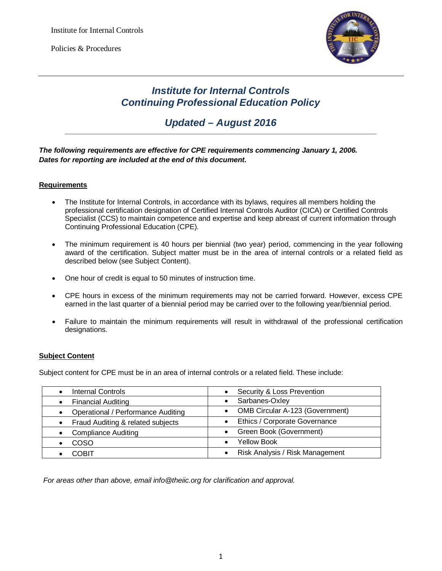

## *Institute for Internal Controls Continuing Professional Education Policy*

# *Updated – August 2016*

## *The following requirements are effective for CPE requirements commencing January 1, 2006. Dates for reporting are included at the end of this document.*

### **Requirements**

- The Institute for Internal Controls, in accordance with its bylaws, requires all members holding the professional certification designation of Certified Internal Controls Auditor (CICA) or Certified Controls Specialist (CCS) to maintain competence and expertise and keep abreast of current information through Continuing Professional Education (CPE).
- The minimum requirement is 40 hours per biennial (two year) period, commencing in the year following award of the certification. Subject matter must be in the area of internal controls or a related field as described below (see Subject Content).
- One hour of credit is equal to 50 minutes of instruction time.
- CPE hours in excess of the minimum requirements may not be carried forward. However, excess CPE earned in the last quarter of a biennial period may be carried over to the following year/biennial period.
- Failure to maintain the minimum requirements will result in withdrawal of the professional certification designations.

### **Subject Content**

Subject content for CPE must be in an area of internal controls or a related field. These include:

| <b>Internal Controls</b>                       | Security & Loss Prevention             |
|------------------------------------------------|----------------------------------------|
| <b>Financial Auditing</b>                      | Sarbanes-Oxley                         |
| <b>Operational / Performance Auditing</b>      | <b>OMB Circular A-123 (Government)</b> |
| Fraud Auditing & related subjects<br>$\bullet$ | Ethics / Corporate Governance          |
| <b>Compliance Auditing</b>                     | Green Book (Government)                |
| <b>COSO</b>                                    | <b>Yellow Book</b><br>$\bullet$        |
| <b>COBIT</b>                                   | Risk Analysis / Risk Management        |

*For areas other than above, email info@theiic.org for clarification and approval.*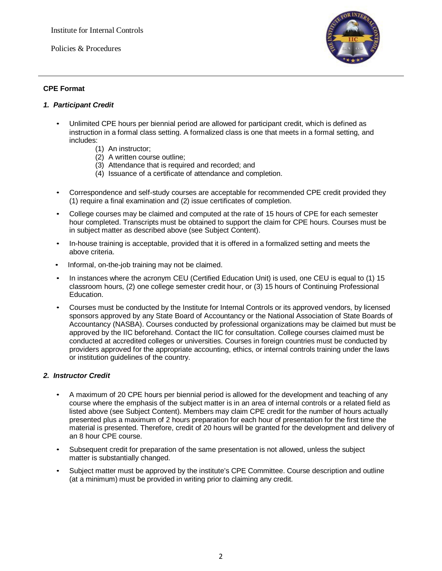Policies & Procedures



## **CPE Format**

### *1. Participant Credit*

- Unlimited CPE hours per biennial period are allowed for participant credit, which is defined as instruction in a formal class setting. A formalized class is one that meets in a formal setting, and includes:
	- (1) An instructor;
	- (2) A written course outline;
	- (3) Attendance that is required and recorded; and
	- (4) Issuance of a certificate of attendance and completion.
- Correspondence and self-study courses are acceptable for recommended CPE credit provided they (1) require a final examination and (2) issue certificates of completion.
- College courses may be claimed and computed at the rate of 15 hours of CPE for each semester hour completed. Transcripts must be obtained to support the claim for CPE hours. Courses must be in subject matter as described above (see Subject Content).
- In-house training is acceptable, provided that it is offered in a formalized setting and meets the above criteria.
- Informal, on-the-job training may not be claimed.
- In instances where the acronym CEU (Certified Education Unit) is used, one CEU is equal to (1) 15 classroom hours, (2) one college semester credit hour, or (3) 15 hours of Continuing Professional Education.
- Courses must be conducted by the Institute for Internal Controls or its approved vendors, by licensed sponsors approved by any State Board of Accountancy or the National Association of State Boards of Accountancy (NASBA). Courses conducted by professional organizations may be claimed but must be approved by the IIC beforehand. Contact the IIC for consultation. College courses claimed must be conducted at accredited colleges or universities. Courses in foreign countries must be conducted by providers approved for the appropriate accounting, ethics, or internal controls training under the laws or institution guidelines of the country.

### *2. Instructor Credit*

- A maximum of 20 CPE hours per biennial period is allowed for the development and teaching of any course where the emphasis of the subject matter is in an area of internal controls or a related field as listed above (see Subject Content). Members may claim CPE credit for the number of hours actually presented plus a maximum of 2 hours preparation for each hour of presentation for the first time the material is presented. Therefore, credit of 20 hours will be granted for the development and delivery of an 8 hour CPE course.
- Subsequent credit for preparation of the same presentation is not allowed, unless the subject matter is substantially changed.
- Subject matter must be approved by the institute's CPE Committee. Course description and outline (at a minimum) must be provided in writing prior to claiming any credit.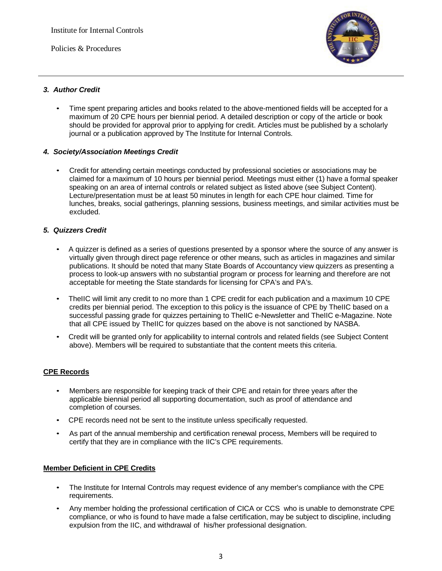Policies & Procedures



## *3. Author Credit*

• Time spent preparing articles and books related to the above-mentioned fields will be accepted for a maximum of 20 CPE hours per biennial period. A detailed description or copy of the article or book should be provided for approval prior to applying for credit. Articles must be published by a scholarly journal or a publication approved by The Institute for Internal Controls.

## *4. Society/Association Meetings Credit*

• Credit for attending certain meetings conducted by professional societies or associations may be claimed for a maximum of 10 hours per biennial period. Meetings must either (1) have a formal speaker speaking on an area of internal controls or related subject as listed above (see Subject Content). Lecture/presentation must be at least 50 minutes in length for each CPE hour claimed. Time for lunches, breaks, social gatherings, planning sessions, business meetings, and similar activities must be excluded.

## *5. Quizzers Credit*

- A quizzer is defined as a series of questions presented by a sponsor where the source of any answer is virtually given through direct page reference or other means, such as articles in magazines and similar publications. It should be noted that many State Boards of Accountancy view quizzers as presenting a process to look-up answers with no substantial program or process for learning and therefore are not acceptable for meeting the State standards for licensing for CPA's and PA's.
- TheIIC will limit any credit to no more than 1 CPE credit for each publication and a maximum 10 CPE credits per biennial period. The exception to this policy is the issuance of CPE by TheIIC based on a successful passing grade for quizzes pertaining to TheIIC e-Newsletter and TheIIC e-Magazine. Note that all CPE issued by TheIIC for quizzes based on the above is not sanctioned by NASBA.
- Credit will be granted only for applicability to internal controls and related fields (see Subject Content above). Members will be required to substantiate that the content meets this criteria.

### **CPE Records**

- Members are responsible for keeping track of their CPE and retain for three years after the applicable biennial period all supporting documentation, such as proof of attendance and completion of courses.
- CPE records need not be sent to the institute unless specifically requested.
- As part of the annual membership and certification renewal process, Members will be required to certify that they are in compliance with the IIC's CPE requirements.

## **Member Deficient in CPE Credits**

- The Institute for Internal Controls may request evidence of any member's compliance with the CPE requirements.
- Any member holding the professional certification of CICA or CCS who is unable to demonstrate CPE compliance, or who is found to have made a false certification, may be subject to discipline, including expulsion from the IIC, and withdrawal of his/her professional designation.